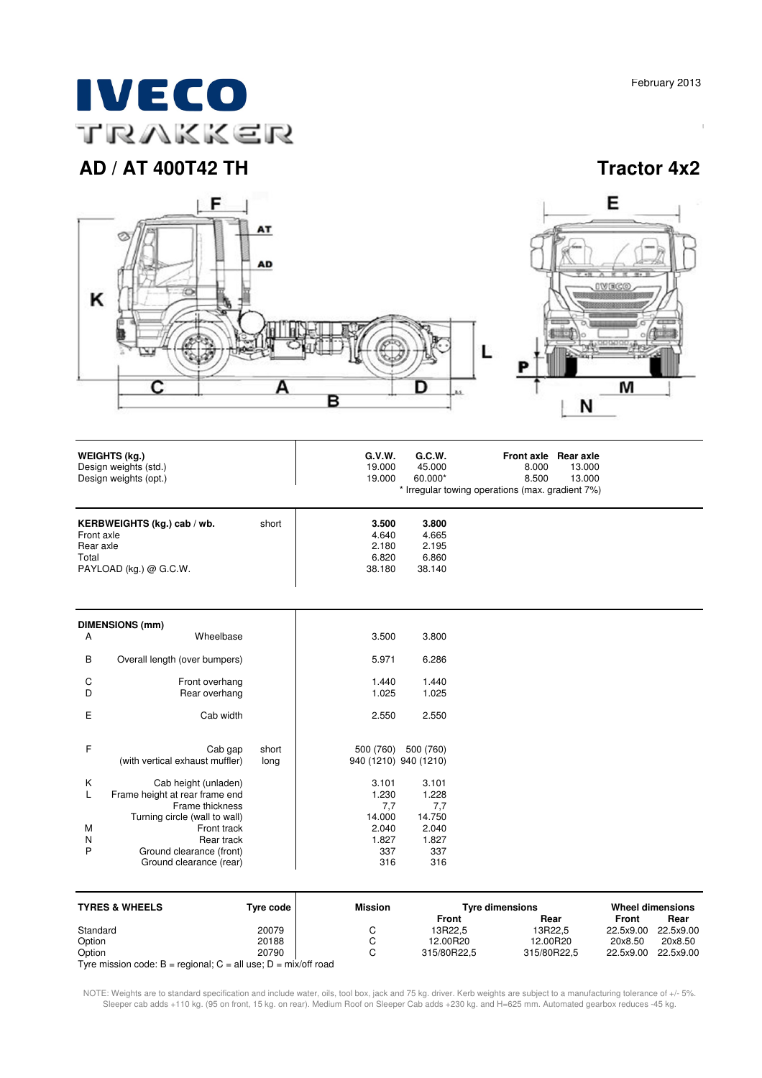# **IVECO** TRAKKER

# **AD / AT 400T42 TH Tractor 4x2**



| <b>WEIGHTS (kg.)</b><br>Design weights (std.)<br>Design weights (opt.)                      |       | G.V.W.<br>19.000<br>19.000                 | G.C.W.<br>45.000<br>60.000*                | Front axle Rear axle<br>8.000<br>8.500<br>* Irregular towing operations (max. gradient 7%) | 13.000<br>13.000 |  |
|---------------------------------------------------------------------------------------------|-------|--------------------------------------------|--------------------------------------------|--------------------------------------------------------------------------------------------|------------------|--|
| KERBWEIGHTS (kg.) cab / wb.<br>Front axle<br>Rear axle<br>Total<br>PAYLOAD (kg.) $@$ G.C.W. | short | 3.500<br>4.640<br>2.180<br>6.820<br>38.180 | 3.800<br>4.665<br>2.195<br>6.860<br>38.140 |                                                                                            |                  |  |

|                       | <b>DIMENSIONS (mm)</b>                                                                                                                                                                         |               |                                                                 |                                                                 |
|-----------------------|------------------------------------------------------------------------------------------------------------------------------------------------------------------------------------------------|---------------|-----------------------------------------------------------------|-----------------------------------------------------------------|
| A                     | Wheelbase                                                                                                                                                                                      |               | 3.500                                                           | 3.800                                                           |
| B                     | Overall length (over bumpers)                                                                                                                                                                  |               | 5.971                                                           | 6.286                                                           |
| C<br>D                | Front overhang<br>Rear overhang                                                                                                                                                                |               | 1.440<br>1.025                                                  | 1.440<br>1.025                                                  |
| Ε                     | Cab width                                                                                                                                                                                      |               | 2.550                                                           | 2.550                                                           |
| F                     | Cab gap<br>(with vertical exhaust muffler)                                                                                                                                                     | short<br>long | 500 (760)<br>940 (1210) 940 (1210)                              | 500 (760)                                                       |
| K<br>L<br>M<br>N<br>P | Cab height (unladen)<br>Frame height at rear frame end<br>Frame thickness<br>Turning circle (wall to wall)<br>Front track<br>Rear track<br>Ground clearance (front)<br>Ground clearance (rear) |               | 3.101<br>1.230<br>7,7<br>14.000<br>2.040<br>1.827<br>337<br>316 | 3.101<br>1.228<br>7,7<br>14.750<br>2.040<br>1.827<br>337<br>316 |

| <b>TYRES &amp; WHEELS</b>                                            | Tyre code | <b>Mission</b> | <b>Tyre dimensions</b> |             | <b>Wheel dimensions</b> |           |
|----------------------------------------------------------------------|-----------|----------------|------------------------|-------------|-------------------------|-----------|
|                                                                      |           |                | Front                  | Rear        | Front                   | Rear      |
| Standard                                                             | 20079     |                | 13R22.5                | 13R22.5     | 22.5x9.00               | 22.5x9.00 |
| Option                                                               | 20188     |                | 12.00R20               | 12.00R20    | 20x8.50                 | 20x8.50   |
| Option                                                               | 20790     |                | 315/80R22.5            | 315/80R22.5 | 22.5x9.00               | 22.5x9.00 |
| Tyre mission code: $B =$ regional; $C =$ all use; $D =$ mix/off road |           |                |                        |             |                         |           |

NOTE: Weights are to standard specification and include water, oils, tool box, jack and 75 kg. driver. Kerb weights are subject to a manufacturing tolerance of +/- 5%. Sleeper cab adds +110 kg. (95 on front, 15 kg. on rear). Medium Roof on Sleeper Cab adds +230 kg. and H=625 mm. Automated gearbox reduces -45 kg.